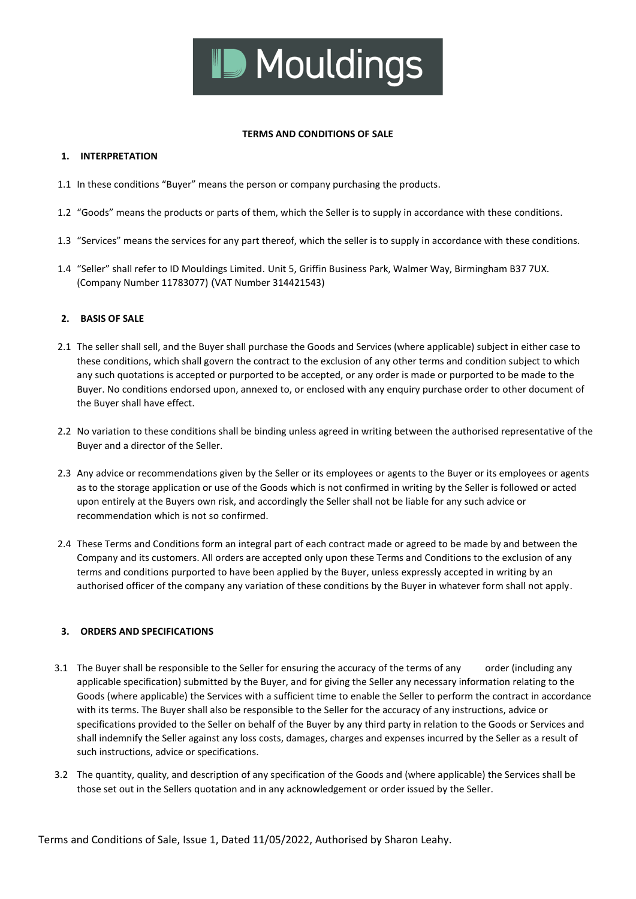

#### **TERMS AND CONDITIONS OF SALE**

## **1. INTERPRETATION**

- 1.1 In these conditions "Buyer" means the person or company purchasing the products.
- 1.2 "Goods" means the products or parts of them, which the Seller is to supply in accordance with these conditions.
- 1.3 "Services" means the services for any part thereof, which the seller is to supply in accordance with these conditions.
- 1.4 "Seller" shall refer to ID Mouldings Limited. Unit 5, Griffin Business Park, Walmer Way, Birmingham B37 7UX. (Company Number 11783077) (VAT Number 314421543)

## **2. BASIS OF SALE**

- 2.1 The seller shall sell, and the Buyer shall purchase the Goods and Services (where applicable) subject in either case to these conditions, which shall govern the contract to the exclusion of any other terms and condition subject to which any such quotations is accepted or purported to be accepted, or any order is made or purported to be made to the Buyer. No conditions endorsed upon, annexed to, or enclosed with any enquiry purchase order to other document of the Buyer shall have effect.
- 2.2 No variation to these conditions shall be binding unless agreed in writing between the authorised representative of the Buyer and a director of the Seller.
- 2.3 Any advice or recommendations given by the Seller or its employees or agents to the Buyer or its employees or agents as to the storage application or use of the Goods which is not confirmed in writing by the Seller is followed or acted upon entirely at the Buyers own risk, and accordingly the Seller shall not be liable for any such advice or recommendation which is not so confirmed.
- 2.4 These Terms and Conditions form an integral part of each contract made or agreed to be made by and between the Company and its customers. All orders are accepted only upon these Terms and Conditions to the exclusion of any terms and conditions purported to have been applied by the Buyer, unless expressly accepted in writing by an authorised officer of the company any variation of these conditions by the Buyer in whatever form shall not apply.

# **3. ORDERS AND SPECIFICATIONS**

- 3.1 The Buyer shall be responsible to the Seller for ensuring the accuracy of the terms of any order (including any applicable specification) submitted by the Buyer, and for giving the Seller any necessary information relating to the Goods (where applicable) the Services with a sufficient time to enable the Seller to perform the contract in accordance with its terms. The Buyer shall also be responsible to the Seller for the accuracy of any instructions, advice or specifications provided to the Seller on behalf of the Buyer by any third party in relation to the Goods or Services and shall indemnify the Seller against any loss costs, damages, charges and expenses incurred by the Seller as a result of such instructions, advice or specifications.
- 3.2 The quantity, quality, and description of any specification of the Goods and (where applicable) the Services shall be those set out in the Sellers quotation and in any acknowledgement or order issued by the Seller.

Terms and Conditions of Sale, Issue 1, Dated 11/05/2022, Authorised by Sharon Leahy.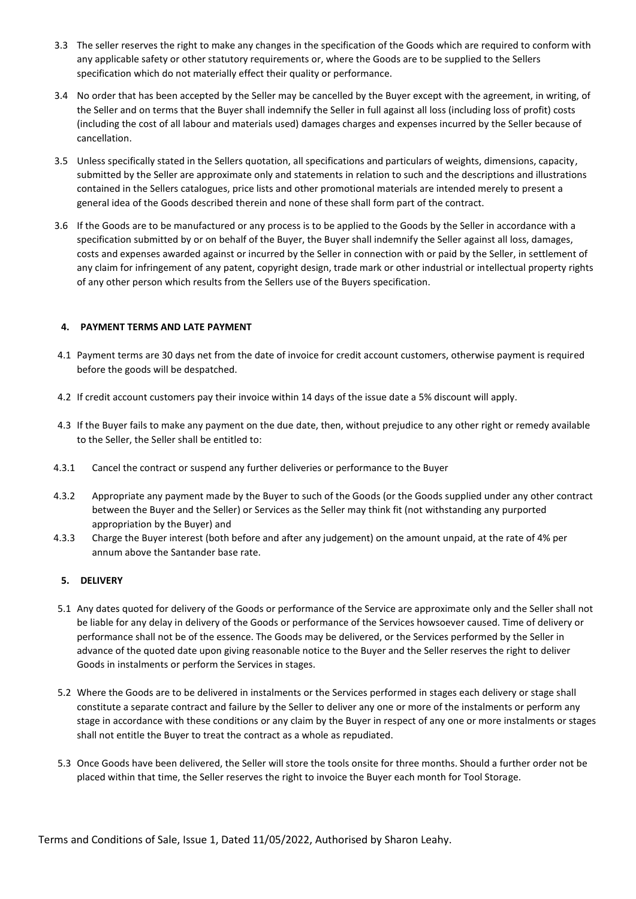- 3.3 The seller reserves the right to make any changes in the specification of the Goods which are required to conform with any applicable safety or other statutory requirements or, where the Goods are to be supplied to the Sellers specification which do not materially effect their quality or performance.
- 3.4 No order that has been accepted by the Seller may be cancelled by the Buyer except with the agreement, in writing, of the Seller and on terms that the Buyer shall indemnify the Seller in full against all loss (including loss of profit) costs (including the cost of all labour and materials used) damages charges and expenses incurred by the Seller because of cancellation.
- 3.5 Unless specifically stated in the Sellers quotation, all specifications and particulars of weights, dimensions, capacity, submitted by the Seller are approximate only and statements in relation to such and the descriptions and illustrations contained in the Sellers catalogues, price lists and other promotional materials are intended merely to present a general idea of the Goods described therein and none of these shall form part of the contract.
- 3.6 If the Goods are to be manufactured or any process is to be applied to the Goods by the Seller in accordance with a specification submitted by or on behalf of the Buyer, the Buyer shall indemnify the Seller against all loss, damages, costs and expenses awarded against or incurred by the Seller in connection with or paid by the Seller, in settlement of any claim for infringement of any patent, copyright design, trade mark or other industrial or intellectual property rights of any other person which results from the Sellers use of the Buyers specification.

## **4. PAYMENT TERMS AND LATE PAYMENT**

- 4.1 Payment terms are 30 days net from the date of invoice for credit account customers, otherwise payment is required before the goods will be despatched.
- 4.2 If credit account customers pay their invoice within 14 days of the issue date a 5% discount will apply.
- 4.3 If the Buyer fails to make any payment on the due date, then, without prejudice to any other right or remedy available to the Seller, the Seller shall be entitled to:
- 4.3.1 Cancel the contract or suspend any further deliveries or performance to the Buyer
- 4.3.2 Appropriate any payment made by the Buyer to such of the Goods (or the Goods supplied under any other contract between the Buyer and the Seller) or Services as the Seller may think fit (not withstanding any purported appropriation by the Buyer) and
- 4.3.3 Charge the Buyer interest (both before and after any judgement) on the amount unpaid, at the rate of 4% per annum above the Santander base rate.

### **5. DELIVERY**

- 5.1 Any dates quoted for delivery of the Goods or performance of the Service are approximate only and the Seller shall not be liable for any delay in delivery of the Goods or performance of the Services howsoever caused. Time of delivery or performance shall not be of the essence. The Goods may be delivered, or the Services performed by the Seller in advance of the quoted date upon giving reasonable notice to the Buyer and the Seller reserves the right to deliver Goods in instalments or perform the Services in stages.
- 5.2 Where the Goods are to be delivered in instalments or the Services performed in stages each delivery or stage shall constitute a separate contract and failure by the Seller to deliver any one or more of the instalments or perform any stage in accordance with these conditions or any claim by the Buyer in respect of any one or more instalments or stages shall not entitle the Buyer to treat the contract as a whole as repudiated.
- 5.3 Once Goods have been delivered, the Seller will store the tools onsite for three months. Should a further order not be placed within that time, the Seller reserves the right to invoice the Buyer each month for Tool Storage.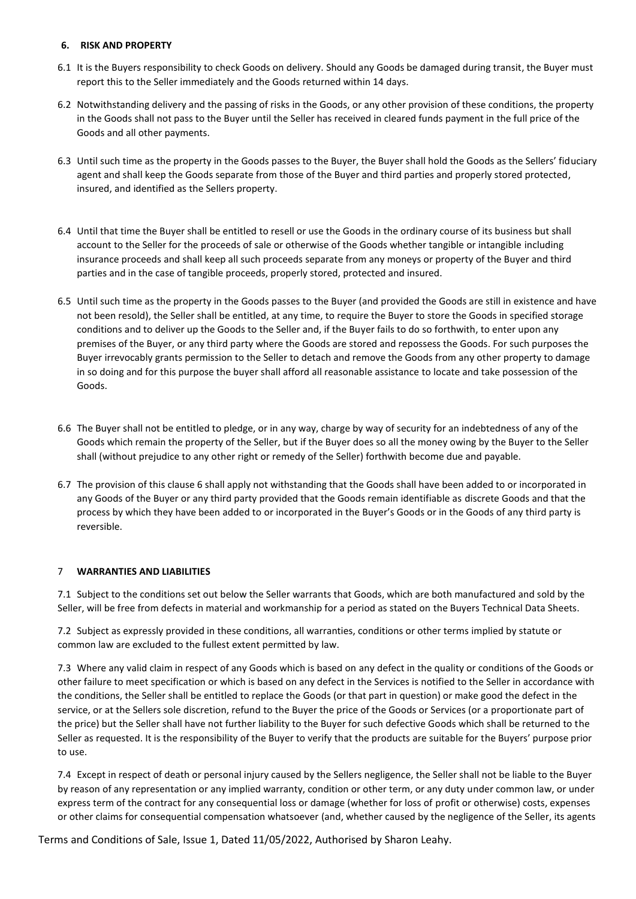### **6. RISK AND PROPERTY**

- 6.1 It is the Buyers responsibility to check Goods on delivery. Should any Goods be damaged during transit, the Buyer must report this to the Seller immediately and the Goods returned within 14 days.
- 6.2 Notwithstanding delivery and the passing of risks in the Goods, or any other provision of these conditions, the property in the Goods shall not pass to the Buyer until the Seller has received in cleared funds payment in the full price of the Goods and all other payments.
- 6.3 Until such time as the property in the Goods passes to the Buyer, the Buyer shall hold the Goods as the Sellers' fiduciary agent and shall keep the Goods separate from those of the Buyer and third parties and properly stored protected, insured, and identified as the Sellers property.
- 6.4 Until that time the Buyer shall be entitled to resell or use the Goods in the ordinary course of its business but shall account to the Seller for the proceeds of sale or otherwise of the Goods whether tangible or intangible including insurance proceeds and shall keep all such proceeds separate from any moneys or property of the Buyer and third parties and in the case of tangible proceeds, properly stored, protected and insured.
- 6.5 Until such time as the property in the Goods passes to the Buyer (and provided the Goods are still in existence and have not been resold), the Seller shall be entitled, at any time, to require the Buyer to store the Goods in specified storage conditions and to deliver up the Goods to the Seller and, if the Buyer fails to do so forthwith, to enter upon any premises of the Buyer, or any third party where the Goods are stored and repossess the Goods. For such purposes the Buyer irrevocably grants permission to the Seller to detach and remove the Goods from any other property to damage in so doing and for this purpose the buyer shall afford all reasonable assistance to locate and take possession of the Goods.
- 6.6 The Buyer shall not be entitled to pledge, or in any way, charge by way of security for an indebtedness of any of the Goods which remain the property of the Seller, but if the Buyer does so all the money owing by the Buyer to the Seller shall (without prejudice to any other right or remedy of the Seller) forthwith become due and payable.
- 6.7 The provision of this clause 6 shall apply not withstanding that the Goods shall have been added to or incorporated in any Goods of the Buyer or any third party provided that the Goods remain identifiable as discrete Goods and that the process by which they have been added to or incorporated in the Buyer's Goods or in the Goods of any third party is reversible.

# 7 **WARRANTIES AND LIABILITIES**

7.1 Subject to the conditions set out below the Seller warrants that Goods, which are both manufactured and sold by the Seller, will be free from defects in material and workmanship for a period as stated on the Buyers Technical Data Sheets.

7.2 Subject as expressly provided in these conditions, all warranties, conditions or other terms implied by statute or common law are excluded to the fullest extent permitted by law.

7.3 Where any valid claim in respect of any Goods which is based on any defect in the quality or conditions of the Goods or other failure to meet specification or which is based on any defect in the Services is notified to the Seller in accordance with the conditions, the Seller shall be entitled to replace the Goods (or that part in question) or make good the defect in the service, or at the Sellers sole discretion, refund to the Buyer the price of the Goods or Services (or a proportionate part of the price) but the Seller shall have not further liability to the Buyer for such defective Goods which shall be returned to the Seller as requested. It is the responsibility of the Buyer to verify that the products are suitable for the Buyers' purpose prior to use.

7.4 Except in respect of death or personal injury caused by the Sellers negligence, the Seller shall not be liable to the Buyer by reason of any representation or any implied warranty, condition or other term, or any duty under common law, or under express term of the contract for any consequential loss or damage (whether for loss of profit or otherwise) costs, expenses or other claims for consequential compensation whatsoever (and, whether caused by the negligence of the Seller, its agents

Terms and Conditions of Sale, Issue 1, Dated 11/05/2022, Authorised by Sharon Leahy.